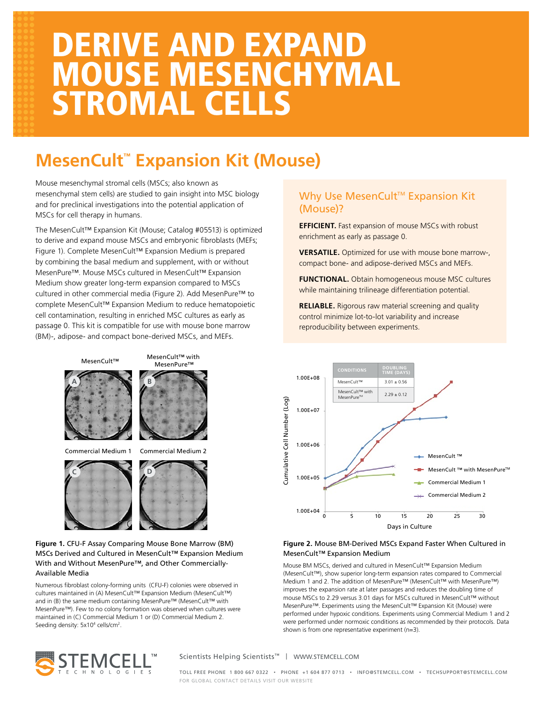# DERIVE AND EXPAND MOUSE MESENCHYMAL STROMAL CELLS

# **MesenCult™ Expansion Kit (Mouse)**

Mouse mesenchymal stromal cells (MSCs; also known as mesenchymal stem cells) are studied to gain insight into MSC biology and for preclinical investigations into the potential application of MSCs for cell therapy in humans.

The MesenCult™ Expansion Kit (Mouse; Catalog #05513) is optimized to derive and expand mouse MSCs and embryonic fibroblasts (MEFs; Figure 1). Complete MesenCult™ Expansion Medium is prepared by combining the basal medium and supplement, with or without MesenPure™. Mouse MSCs cultured in MesenCult™ Expansion Medium show greater long-term expansion compared to MSCs cultured in other commercial media (Figure 2). Add MesenPure™ to complete MesenCult™ Expansion Medium to reduce hematopoietic cell contamination, resulting in enriched MSC cultures as early as passage 0. This kit is compatible for use with mouse bone marrow (BM)-, adipose- and compact bone-derived MSCs, and MEFs.



#### **Figure 1.** CFU-F Assay Comparing Mouse Bone Marrow (BM) MSCs Derived and Cultured in MesenCult™ Expansion Medium With and Without MesenPure™, and Other Commercially-Available Media

Numerous fibroblast colony-forming units (CFU-F) colonies were observed in cultures maintained in (A) MesenCult™ Expansion Medium (MesenCult™) and in (B) the same medium containing MesenPure™ (MesenCult™ with MesenPure™). Few to no colony formation was observed when cultures were maintained in (C) Commercial Medium 1 or (D) Commercial Medium 2. Seeding density: 5x10<sup>4</sup> cells/cm<sup>2</sup>.

### Why Use MesenCult<sup>™</sup> Expansion Kit (Mouse)?

**EFFICIENT.** Fast expansion of mouse MSCs with robust enrichment as early as passage 0.

**VERSATILE.** Optimized for use with mouse bone marrow-, compact bone- and adipose-derived MSCs and MEFs.

**FUNCTIONAL.** Obtain homogeneous mouse MSC cultures while maintaining trilineage differentiation potential.

**RELIABLE.** Rigorous raw material screening and quality control minimize lot-to-lot variability and increase reproducibility between experiments.



#### **Figure 2.** Mouse BM-Derived MSCs Expand Faster When Cultured in MesenCult™ Expansion Medium

Mouse BM MSCs, derived and cultured in MesenCult™ Expansion Medium (MesenCult™), show superior long-term expansion rates compared to Commercial Medium 1 and 2. The addition of MesenPure™ (MesenCult™ with MesenPure™) improves the expansion rate at later passages and reduces the doubling time of mouse MSCs to 2.29 versus 3.01 days for MSCs cultured in MesenCult™ without MesenPure™. Experiments using the MesenCult™ Expansion Kit (Mouse) were performed under hypoxic conditions. Experiments using Commercial Medium 1 and 2 were performed under normoxic conditions as recommended by their protocols. Data shown is from one representative experiment (n=3).



Scientists Helping Scientists™ | WWW.STEMCELL.COM

TOLL FREE PHONE 1 800 667 0322 • PHONE +1 604 877 0713 • INFO@STEMCELL.COM • TECHSUPPORT@STEMCELL.COM FOR GLOBAL CONTACT DETAILS VISIT OUR WEBSITE